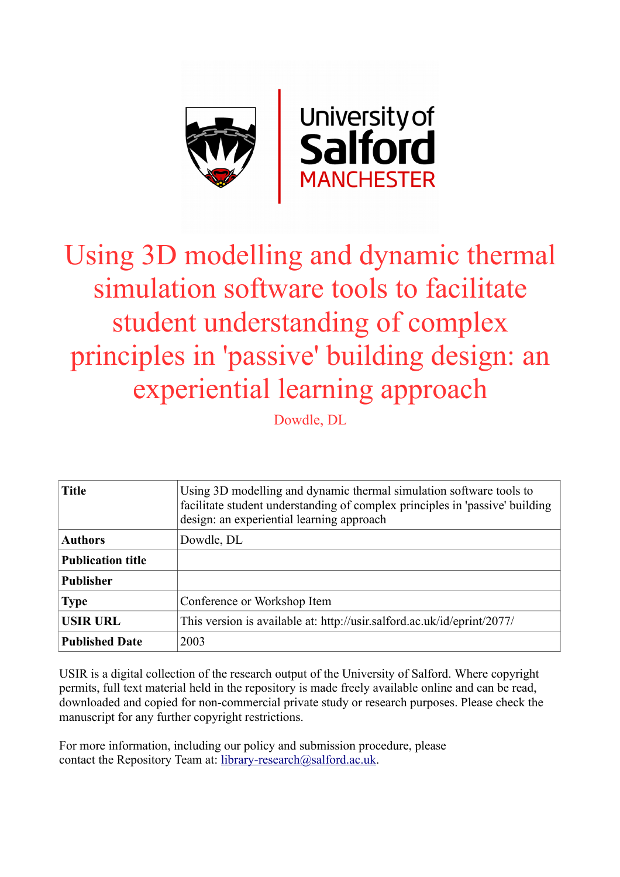

# Using 3D modelling and dynamic thermal simulation software tools to facilitate student understanding of complex principles in 'passive' building design: an experiential learning approach

Dowdle, DL

| <b>Title</b>             | Using 3D modelling and dynamic thermal simulation software tools to<br>facilitate student understanding of complex principles in 'passive' building<br>design: an experiential learning approach |
|--------------------------|--------------------------------------------------------------------------------------------------------------------------------------------------------------------------------------------------|
| <b>Authors</b>           | Dowdle, DL                                                                                                                                                                                       |
| <b>Publication title</b> |                                                                                                                                                                                                  |
| <b>Publisher</b>         |                                                                                                                                                                                                  |
| <b>Type</b>              | Conference or Workshop Item                                                                                                                                                                      |
| <b>USIR URL</b>          | This version is available at: http://usir.salford.ac.uk/id/eprint/2077/                                                                                                                          |
| <b>Published Date</b>    | 2003                                                                                                                                                                                             |

USIR is a digital collection of the research output of the University of Salford. Where copyright permits, full text material held in the repository is made freely available online and can be read, downloaded and copied for non-commercial private study or research purposes. Please check the manuscript for any further copyright restrictions.

For more information, including our policy and submission procedure, please contact the Repository Team at: [library-research@salford.ac.uk.](mailto:library-research@salford.ac.uk)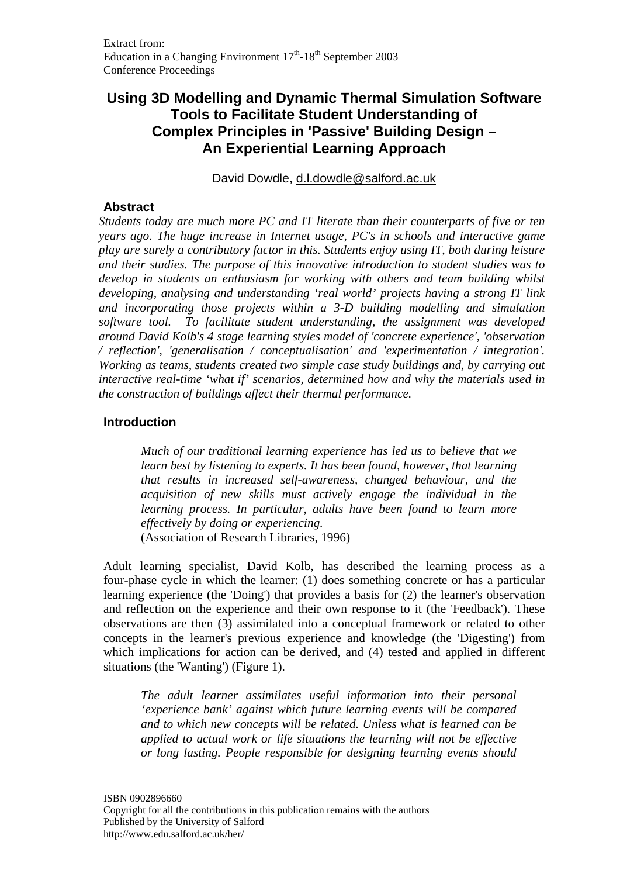## **Using 3D Modelling and Dynamic Thermal Simulation Software Tools to Facilitate Student Understanding of Complex Principles in 'Passive' Building Design – An Experiential Learning Approach**

David Dowdle, d.l.dowdle@salford.ac.uk

#### **Abstract**

*Students today are much more PC and IT literate than their counterparts of five or ten years ago. The huge increase in Internet usage, PC's in schools and interactive game play are surely a contributory factor in this. Students enjoy using IT, both during leisure and their studies. The purpose of this innovative introduction to student studies was to develop in students an enthusiasm for working with others and team building whilst developing, analysing and understanding 'real world' projects having a strong IT link and incorporating those projects within a 3-D building modelling and simulation software tool. To facilitate student understanding, the assignment was developed around David Kolb's 4 stage learning styles model of 'concrete experience', 'observation / reflection', 'generalisation / conceptualisation' and 'experimentation / integration'. Working as teams, students created two simple case study buildings and, by carrying out interactive real-time 'what if' scenarios, determined how and why the materials used in the construction of buildings affect their thermal performance.* 

#### **Introduction**

*Much of our traditional learning experience has led us to believe that we learn best by listening to experts. It has been found, however, that learning that results in increased self-awareness, changed behaviour, and the acquisition of new skills must actively engage the individual in the learning process. In particular, adults have been found to learn more effectively by doing or experiencing.*  (Association of Research Libraries, 1996)

Adult learning specialist, David Kolb, has described the learning process as a four-phase cycle in which the learner: (1) does something concrete or has a particular learning experience (the 'Doing') that provides a basis for (2) the learner's observation and reflection on the experience and their own response to it (the 'Feedback'). These observations are then (3) assimilated into a conceptual framework or related to other concepts in the learner's previous experience and knowledge (the 'Digesting') from which implications for action can be derived, and (4) tested and applied in different situations (the 'Wanting') (Figure 1).

*The adult learner assimilates useful information into their personal 'experience bank' against which future learning events will be compared and to which new concepts will be related. Unless what is learned can be applied to actual work or life situations the learning will not be effective or long lasting. People responsible for designing learning events should*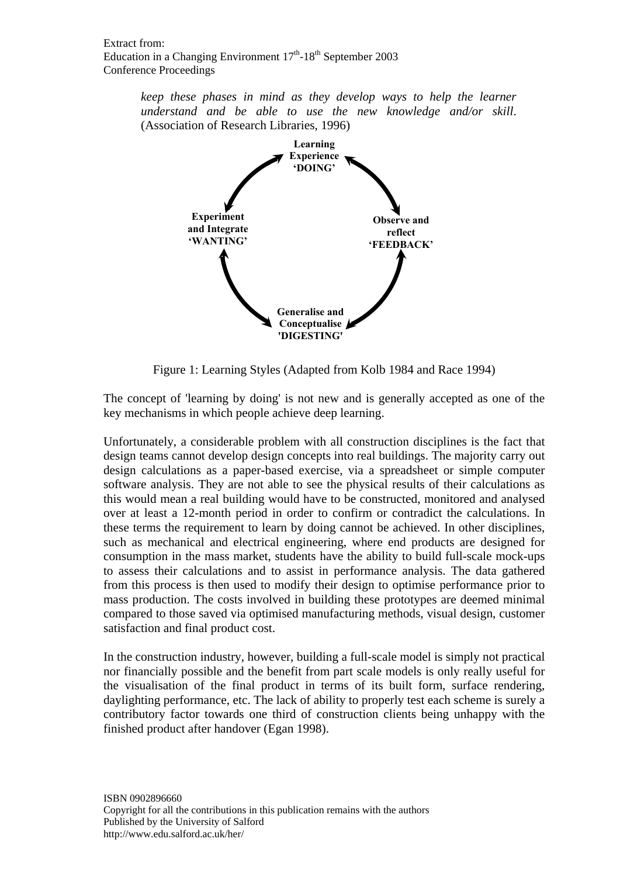*keep these phases in mind as they develop ways to help the learner understand and be able to use the new knowledge and/or skill*. (Association of Research Libraries, 1996)



Figure 1: Learning Styles (Adapted from Kolb 1984 and Race 1994)

The concept of 'learning by doing' is not new and is generally accepted as one of the key mechanisms in which people achieve deep learning.

Unfortunately, a considerable problem with all construction disciplines is the fact that design teams cannot develop design concepts into real buildings. The majority carry out design calculations as a paper-based exercise, via a spreadsheet or simple computer software analysis. They are not able to see the physical results of their calculations as this would mean a real building would have to be constructed, monitored and analysed over at least a 12-month period in order to confirm or contradict the calculations. In these terms the requirement to learn by doing cannot be achieved. In other disciplines, such as mechanical and electrical engineering, where end products are designed for consumption in the mass market, students have the ability to build full-scale mock-ups to assess their calculations and to assist in performance analysis. The data gathered from this process is then used to modify their design to optimise performance prior to mass production. The costs involved in building these prototypes are deemed minimal compared to those saved via optimised manufacturing methods, visual design, customer satisfaction and final product cost.

In the construction industry, however, building a full-scale model is simply not practical nor financially possible and the benefit from part scale models is only really useful for the visualisation of the final product in terms of its built form, surface rendering, daylighting performance, etc. The lack of ability to properly test each scheme is surely a contributory factor towards one third of construction clients being unhappy with the finished product after handover (Egan 1998).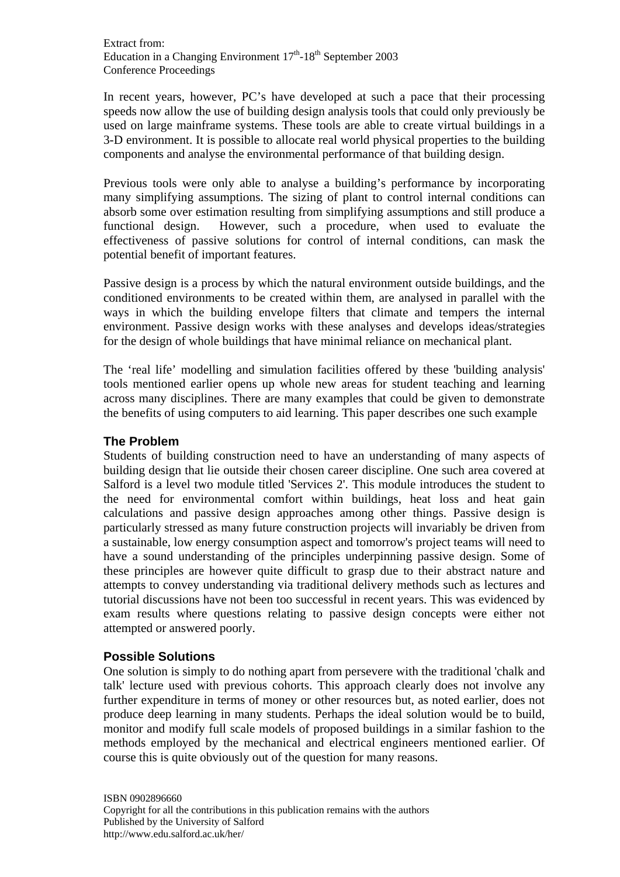In recent years, however, PC's have developed at such a pace that their processing speeds now allow the use of building design analysis tools that could only previously be used on large mainframe systems. These tools are able to create virtual buildings in a 3-D environment. It is possible to allocate real world physical properties to the building components and analyse the environmental performance of that building design.

Previous tools were only able to analyse a building's performance by incorporating many simplifying assumptions. The sizing of plant to control internal conditions can absorb some over estimation resulting from simplifying assumptions and still produce a functional design. However, such a procedure, when used to evaluate the effectiveness of passive solutions for control of internal conditions, can mask the potential benefit of important features.

Passive design is a process by which the natural environment outside buildings, and the conditioned environments to be created within them, are analysed in parallel with the ways in which the building envelope filters that climate and tempers the internal environment. Passive design works with these analyses and develops ideas/strategies for the design of whole buildings that have minimal reliance on mechanical plant.

The 'real life' modelling and simulation facilities offered by these 'building analysis' tools mentioned earlier opens up whole new areas for student teaching and learning across many disciplines. There are many examples that could be given to demonstrate the benefits of using computers to aid learning. This paper describes one such example

## **The Problem**

Students of building construction need to have an understanding of many aspects of building design that lie outside their chosen career discipline. One such area covered at Salford is a level two module titled 'Services 2'. This module introduces the student to the need for environmental comfort within buildings, heat loss and heat gain calculations and passive design approaches among other things. Passive design is particularly stressed as many future construction projects will invariably be driven from a sustainable, low energy consumption aspect and tomorrow's project teams will need to have a sound understanding of the principles underpinning passive design. Some of these principles are however quite difficult to grasp due to their abstract nature and attempts to convey understanding via traditional delivery methods such as lectures and tutorial discussions have not been too successful in recent years. This was evidenced by exam results where questions relating to passive design concepts were either not attempted or answered poorly.

#### **Possible Solutions**

One solution is simply to do nothing apart from persevere with the traditional 'chalk and talk' lecture used with previous cohorts. This approach clearly does not involve any further expenditure in terms of money or other resources but, as noted earlier, does not produce deep learning in many students. Perhaps the ideal solution would be to build, monitor and modify full scale models of proposed buildings in a similar fashion to the methods employed by the mechanical and electrical engineers mentioned earlier. Of course this is quite obviously out of the question for many reasons.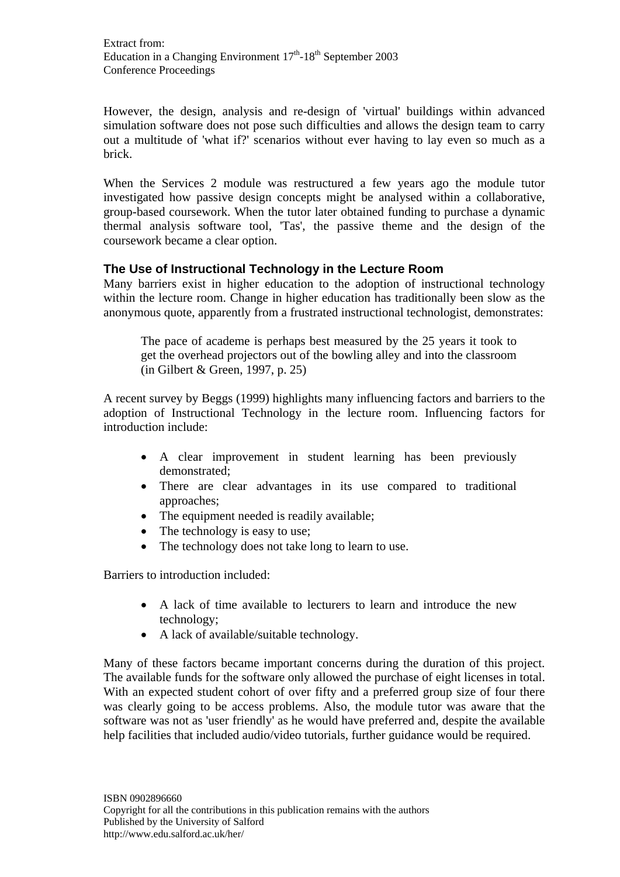However, the design, analysis and re-design of 'virtual' buildings within advanced simulation software does not pose such difficulties and allows the design team to carry out a multitude of 'what if?' scenarios without ever having to lay even so much as a brick.

When the Services 2 module was restructured a few years ago the module tutor investigated how passive design concepts might be analysed within a collaborative, group-based coursework. When the tutor later obtained funding to purchase a dynamic thermal analysis software tool, 'Tas', the passive theme and the design of the coursework became a clear option.

## **The Use of Instructional Technology in the Lecture Room**

Many barriers exist in higher education to the adoption of instructional technology within the lecture room. Change in higher education has traditionally been slow as the anonymous quote, apparently from a frustrated instructional technologist, demonstrates:

The pace of academe is perhaps best measured by the 25 years it took to get the overhead projectors out of the bowling alley and into the classroom (in Gilbert & Green, 1997, p. 25)

A recent survey by Beggs (1999) highlights many influencing factors and barriers to the adoption of Instructional Technology in the lecture room. Influencing factors for introduction include:

- A clear improvement in student learning has been previously demonstrated;
- There are clear advantages in its use compared to traditional approaches;
- The equipment needed is readily available;
- The technology is easy to use;
- The technology does not take long to learn to use.

Barriers to introduction included:

- A lack of time available to lecturers to learn and introduce the new technology;
- A lack of available/suitable technology.

Many of these factors became important concerns during the duration of this project. The available funds for the software only allowed the purchase of eight licenses in total. With an expected student cohort of over fifty and a preferred group size of four there was clearly going to be access problems. Also, the module tutor was aware that the software was not as 'user friendly' as he would have preferred and, despite the available help facilities that included audio/video tutorials, further guidance would be required.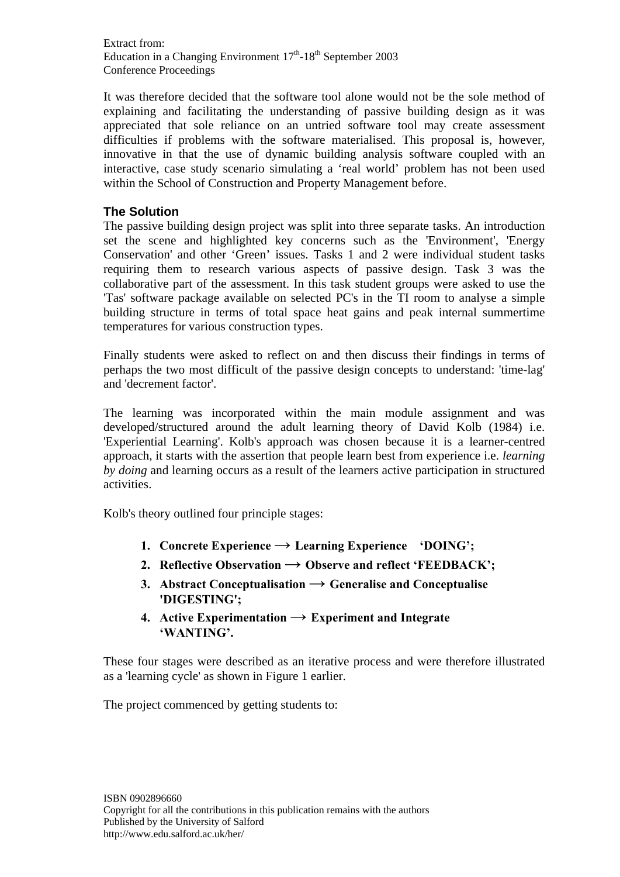Extract from: Education in a Changing Environment  $17<sup>th</sup>$ -18<sup>th</sup> September 2003 Conference Proceedings

It was therefore decided that the software tool alone would not be the sole method of explaining and facilitating the understanding of passive building design as it was appreciated that sole reliance on an untried software tool may create assessment difficulties if problems with the software materialised. This proposal is, however, innovative in that the use of dynamic building analysis software coupled with an interactive, case study scenario simulating a 'real world' problem has not been used within the School of Construction and Property Management before.

## **The Solution**

The passive building design project was split into three separate tasks. An introduction set the scene and highlighted key concerns such as the 'Environment', 'Energy Conservation' and other 'Green' issues. Tasks 1 and 2 were individual student tasks requiring them to research various aspects of passive design. Task 3 was the collaborative part of the assessment. In this task student groups were asked to use the 'Tas' software package available on selected PC's in the TI room to analyse a simple building structure in terms of total space heat gains and peak internal summertime temperatures for various construction types.

Finally students were asked to reflect on and then discuss their findings in terms of perhaps the two most difficult of the passive design concepts to understand: 'time-lag' and 'decrement factor'.

The learning was incorporated within the main module assignment and was developed/structured around the adult learning theory of David Kolb (1984) i.e. 'Experiential Learning'. Kolb's approach was chosen because it is a learner-centred approach, it starts with the assertion that people learn best from experience i.e. *learning by doing* and learning occurs as a result of the learners active participation in structured activities.

Kolb's theory outlined four principle stages:

- **1. Concrete Experience**  $\rightarrow$  **Learning Experience 'DOING'**;
- **2. Reflective Observation**  $\rightarrow$  **Observe and reflect 'FEEDBACK';**
- **3. Abstract Conceptualisation → Generalise and Conceptualise 'DIGESTING';**
- **4. Active Experimentation**  $\rightarrow$  **Experiment and Integrate 'WANTING'.**

These four stages were described as an iterative process and were therefore illustrated as a 'learning cycle' as shown in Figure 1 earlier.

The project commenced by getting students to: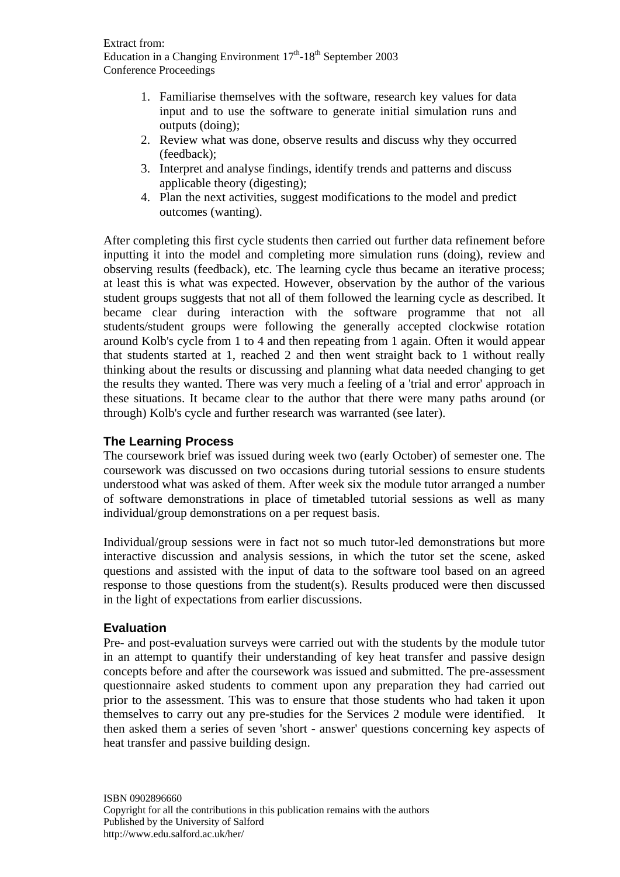- 1. Familiarise themselves with the software, research key values for data input and to use the software to generate initial simulation runs and outputs (doing);
- 2. Review what was done, observe results and discuss why they occurred (feedback);
- 3. Interpret and analyse findings, identify trends and patterns and discuss applicable theory (digesting);
- 4. Plan the next activities, suggest modifications to the model and predict outcomes (wanting).

After completing this first cycle students then carried out further data refinement before inputting it into the model and completing more simulation runs (doing), review and observing results (feedback), etc. The learning cycle thus became an iterative process; at least this is what was expected. However, observation by the author of the various student groups suggests that not all of them followed the learning cycle as described. It became clear during interaction with the software programme that not all students/student groups were following the generally accepted clockwise rotation around Kolb's cycle from 1 to 4 and then repeating from 1 again. Often it would appear that students started at 1, reached 2 and then went straight back to 1 without really thinking about the results or discussing and planning what data needed changing to get the results they wanted. There was very much a feeling of a 'trial and error' approach in these situations. It became clear to the author that there were many paths around (or through) Kolb's cycle and further research was warranted (see later).

## **The Learning Process**

The coursework brief was issued during week two (early October) of semester one. The coursework was discussed on two occasions during tutorial sessions to ensure students understood what was asked of them. After week six the module tutor arranged a number of software demonstrations in place of timetabled tutorial sessions as well as many individual/group demonstrations on a per request basis.

Individual/group sessions were in fact not so much tutor-led demonstrations but more interactive discussion and analysis sessions, in which the tutor set the scene, asked questions and assisted with the input of data to the software tool based on an agreed response to those questions from the student(s). Results produced were then discussed in the light of expectations from earlier discussions.

## **Evaluation**

Pre- and post-evaluation surveys were carried out with the students by the module tutor in an attempt to quantify their understanding of key heat transfer and passive design concepts before and after the coursework was issued and submitted. The pre-assessment questionnaire asked students to comment upon any preparation they had carried out prior to the assessment. This was to ensure that those students who had taken it upon themselves to carry out any pre-studies for the Services 2 module were identified. It then asked them a series of seven 'short - answer' questions concerning key aspects of heat transfer and passive building design.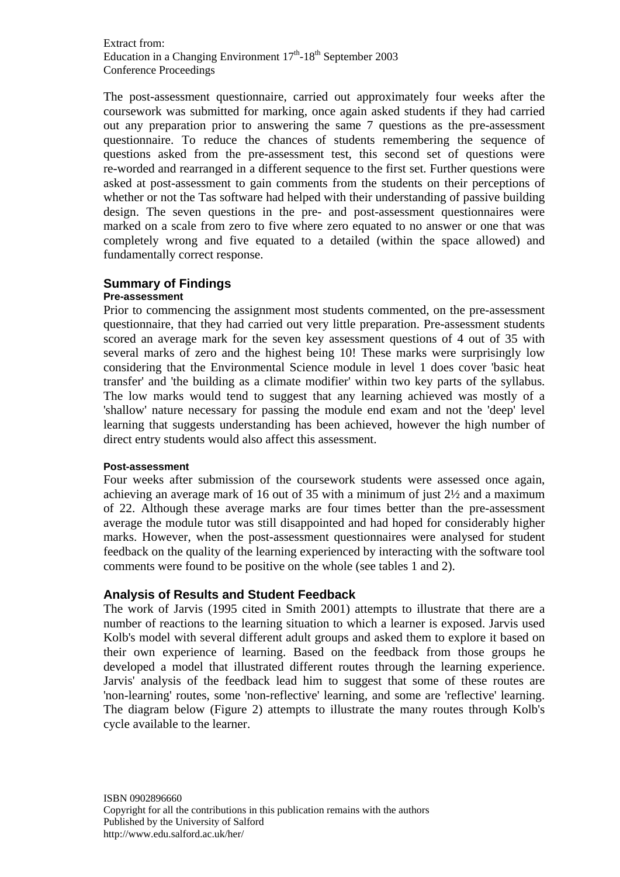Extract from: Education in a Changing Environment  $17<sup>th</sup>$ -18<sup>th</sup> September 2003 Conference Proceedings

The post-assessment questionnaire, carried out approximately four weeks after the coursework was submitted for marking, once again asked students if they had carried out any preparation prior to answering the same 7 questions as the pre-assessment questionnaire. To reduce the chances of students remembering the sequence of questions asked from the pre-assessment test, this second set of questions were re-worded and rearranged in a different sequence to the first set. Further questions were asked at post-assessment to gain comments from the students on their perceptions of whether or not the Tas software had helped with their understanding of passive building design. The seven questions in the pre- and post-assessment questionnaires were marked on a scale from zero to five where zero equated to no answer or one that was completely wrong and five equated to a detailed (within the space allowed) and fundamentally correct response.

#### **Summary of Findings**

#### **Pre-assessment**

Prior to commencing the assignment most students commented, on the pre-assessment questionnaire, that they had carried out very little preparation. Pre-assessment students scored an average mark for the seven key assessment questions of 4 out of 35 with several marks of zero and the highest being 10! These marks were surprisingly low considering that the Environmental Science module in level 1 does cover 'basic heat transfer' and 'the building as a climate modifier' within two key parts of the syllabus. The low marks would tend to suggest that any learning achieved was mostly of a 'shallow' nature necessary for passing the module end exam and not the 'deep' level learning that suggests understanding has been achieved, however the high number of direct entry students would also affect this assessment.

#### **Post-assessment**

Four weeks after submission of the coursework students were assessed once again, achieving an average mark of 16 out of 35 with a minimum of just 2½ and a maximum of 22. Although these average marks are four times better than the pre-assessment average the module tutor was still disappointed and had hoped for considerably higher marks. However, when the post-assessment questionnaires were analysed for student feedback on the quality of the learning experienced by interacting with the software tool comments were found to be positive on the whole (see tables 1 and 2).

#### **Analysis of Results and Student Feedback**

The work of Jarvis (1995 cited in Smith 2001) attempts to illustrate that there are a number of reactions to the learning situation to which a learner is exposed. Jarvis used Kolb's model with several different adult groups and asked them to explore it based on their own experience of learning. Based on the feedback from those groups he developed a model that illustrated different routes through the learning experience. Jarvis' analysis of the feedback lead him to suggest that some of these routes are 'non-learning' routes, some 'non-reflective' learning, and some are 'reflective' learning. The diagram below (Figure 2) attempts to illustrate the many routes through Kolb's cycle available to the learner.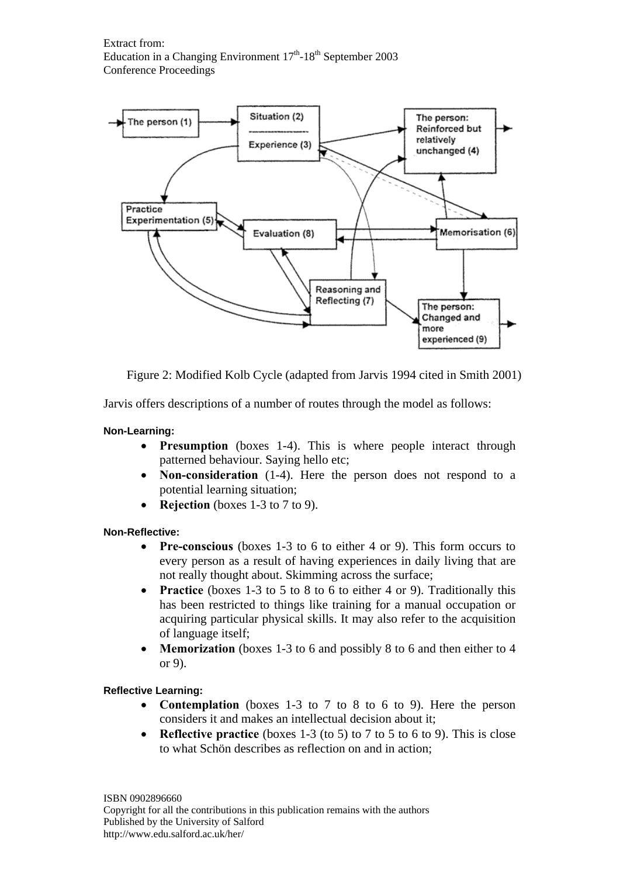

Figure 2: Modified Kolb Cycle (adapted from Jarvis 1994 cited in Smith 2001)

Jarvis offers descriptions of a number of routes through the model as follows:

#### **Non-Learning:**

- **Presumption** (boxes 1-4). This is where people interact through patterned behaviour. Saying hello etc;
- **Non-consideration** (1-4). Here the person does not respond to a potential learning situation;
- **Rejection** (boxes 1-3 to 7 to 9).

#### **Non-Reflective:**

- **Pre-conscious** (boxes 1-3 to 6 to either 4 or 9). This form occurs to every person as a result of having experiences in daily living that are not really thought about. Skimming across the surface;
- **Practice** (boxes 1-3 to 5 to 8 to 6 to either 4 or 9). Traditionally this has been restricted to things like training for a manual occupation or acquiring particular physical skills. It may also refer to the acquisition of language itself;
- **Memorization** (boxes 1-3 to 6 and possibly 8 to 6 and then either to 4 or 9).

#### **Reflective Learning:**

- **Contemplation** (boxes 1-3 to 7 to 8 to 6 to 9). Here the person considers it and makes an intellectual decision about it;
- **Reflective practice** (boxes 1-3 (to 5) to 7 to 5 to 6 to 9). This is close to what Schön describes as reflection on and in action;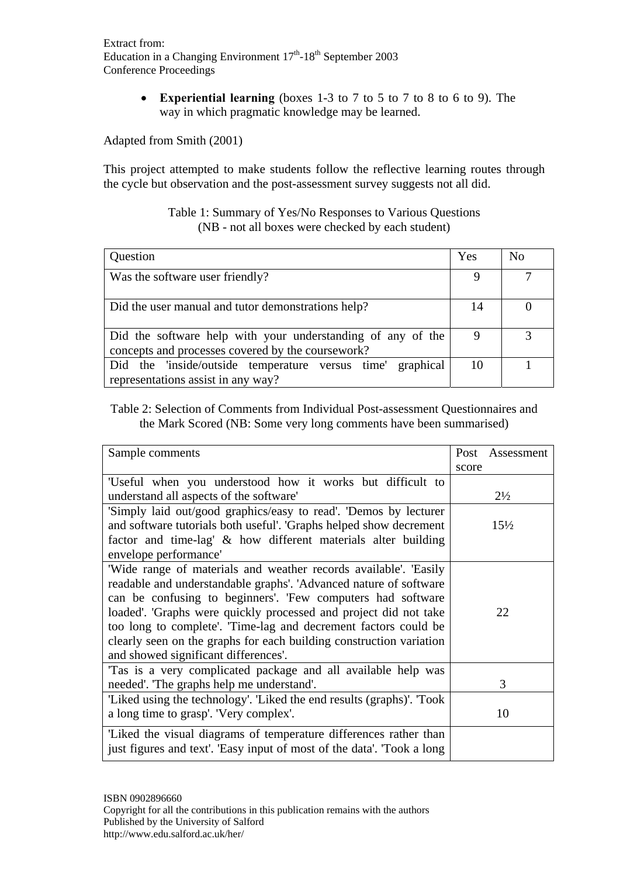**Experiential learning** (boxes 1-3 to 7 to 5 to 7 to 8 to 6 to 9). The way in which pragmatic knowledge may be learned.

Adapted from Smith (2001)

This project attempted to make students follow the reflective learning routes through the cycle but observation and the post-assessment survey suggests not all did.

#### Table 1: Summary of Yes/No Responses to Various Questions (NB - not all boxes were checked by each student)

| Question                                                                                                         | Yes | No |
|------------------------------------------------------------------------------------------------------------------|-----|----|
| Was the software user friendly?                                                                                  |     |    |
| Did the user manual and tutor demonstrations help?                                                               | 14  |    |
| Did the software help with your understanding of any of the<br>concepts and processes covered by the coursework? |     |    |
| Did the 'inside/outside temperature versus time' graphical<br>representations assist in any way?                 | 10  |    |

Table 2: Selection of Comments from Individual Post-assessment Questionnaires and the Mark Scored (NB: Some very long comments have been summarised)

| Sample comments                                                        | Post<br>Assessment |
|------------------------------------------------------------------------|--------------------|
|                                                                        | score              |
| 'Useful when you understood how it works but difficult to              |                    |
| understand all aspects of the software'                                | $2\frac{1}{2}$     |
| 'Simply laid out/good graphics/easy to read'. 'Demos by lecturer       |                    |
| and software tutorials both useful'. 'Graphs helped show decrement     | $15\frac{1}{2}$    |
| factor and time-lag' & how different materials alter building          |                    |
| envelope performance'                                                  |                    |
| Wide range of materials and weather records available'. Easily         |                    |
| readable and understandable graphs'. 'Advanced nature of software      |                    |
| can be confusing to beginners'. 'Few computers had software            |                    |
| loaded'. 'Graphs were quickly processed and project did not take       | 22                 |
| too long to complete'. Time-lag and decrement factors could be         |                    |
| clearly seen on the graphs for each building construction variation    |                    |
| and showed significant differences'.                                   |                    |
| Tas is a very complicated package and all available help was           |                    |
| needed'. The graphs help me understand'.                               | 3                  |
| 'Liked using the technology'. 'Liked the end results (graphs)'. 'Took  |                    |
| a long time to grasp'. 'Very complex'.                                 | 10                 |
| Liked the visual diagrams of temperature differences rather than       |                    |
| just figures and text'. 'Easy input of most of the data'. 'Took a long |                    |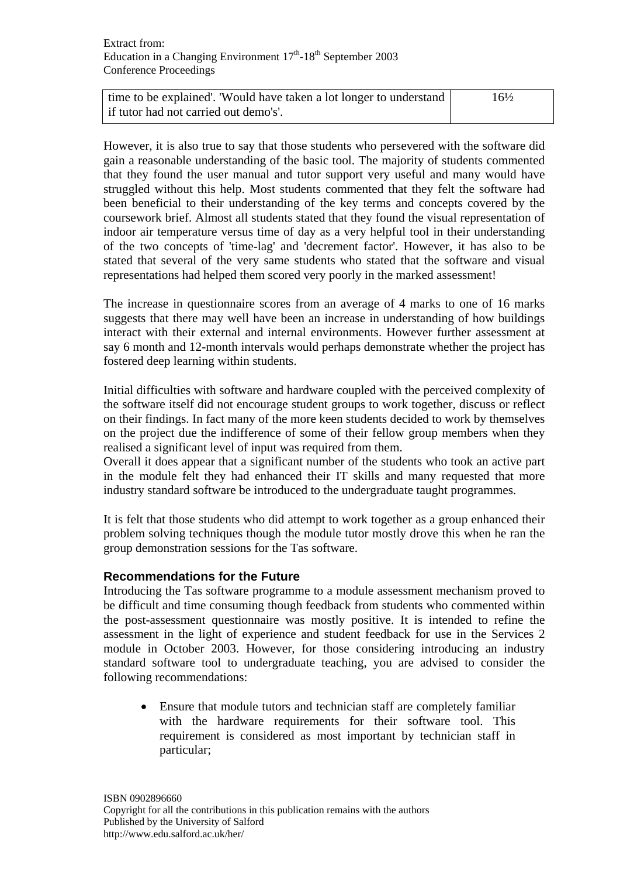| time to be explained'. 'Would have taken a lot longer to understand | $16\frac{1}{2}$ |
|---------------------------------------------------------------------|-----------------|
| if tutor had not carried out demo's'.                               |                 |

However, it is also true to say that those students who persevered with the software did gain a reasonable understanding of the basic tool. The majority of students commented that they found the user manual and tutor support very useful and many would have struggled without this help. Most students commented that they felt the software had been beneficial to their understanding of the key terms and concepts covered by the coursework brief. Almost all students stated that they found the visual representation of indoor air temperature versus time of day as a very helpful tool in their understanding of the two concepts of 'time-lag' and 'decrement factor'. However, it has also to be stated that several of the very same students who stated that the software and visual representations had helped them scored very poorly in the marked assessment!

The increase in questionnaire scores from an average of 4 marks to one of 16 marks suggests that there may well have been an increase in understanding of how buildings interact with their external and internal environments. However further assessment at say 6 month and 12-month intervals would perhaps demonstrate whether the project has fostered deep learning within students.

Initial difficulties with software and hardware coupled with the perceived complexity of the software itself did not encourage student groups to work together, discuss or reflect on their findings. In fact many of the more keen students decided to work by themselves on the project due the indifference of some of their fellow group members when they realised a significant level of input was required from them.

Overall it does appear that a significant number of the students who took an active part in the module felt they had enhanced their IT skills and many requested that more industry standard software be introduced to the undergraduate taught programmes.

It is felt that those students who did attempt to work together as a group enhanced their problem solving techniques though the module tutor mostly drove this when he ran the group demonstration sessions for the Tas software.

## **Recommendations for the Future**

Introducing the Tas software programme to a module assessment mechanism proved to be difficult and time consuming though feedback from students who commented within the post-assessment questionnaire was mostly positive. It is intended to refine the assessment in the light of experience and student feedback for use in the Services 2 module in October 2003. However, for those considering introducing an industry standard software tool to undergraduate teaching, you are advised to consider the following recommendations:

 Ensure that module tutors and technician staff are completely familiar with the hardware requirements for their software tool. This requirement is considered as most important by technician staff in particular;